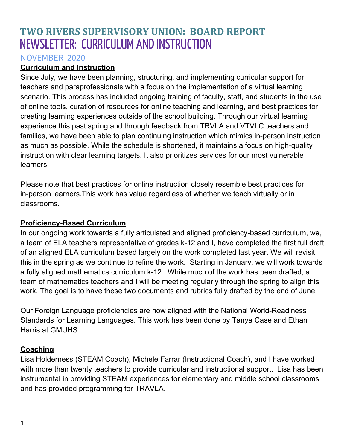# **TWO RIVERS SUPERVISORY UNION: BOARD REPORT** NEWSLETTER: CURRICULUM ANDINSTRUCTION

#### NOVEMBER 2020

### **Curriculum and Instruction**

Since July, we have been planning, structuring, and implementing curricular support for teachers and paraprofessionals with a focus on the implementation of a virtual learning scenario. This process has included ongoing training of faculty, staff, and students in the use of online tools, curation of resources for online teaching and learning, and best practices for creating learning experiences outside of the school building. Through our virtual learning experience this past spring and through feedback from TRVLA and VTVLC teachers and families, we have been able to plan continuing instruction which mimics in-person instruction as much as possible. While the schedule is shortened, it maintains a focus on high-quality instruction with clear learning targets. It also prioritizes services for our most vulnerable learners.

Please note that best practices for online instruction closely resemble best practices for in-person learners.This work has value regardless of whether we teach virtually or in classrooms.

#### **Proficiency-Based Curriculum**

In our ongoing work towards a fully articulated and aligned proficiency-based curriculum, we, a team of ELA teachers representative of grades k-12 and I, have completed the first full draft of an aligned ELA curriculum based largely on the work completed last year. We will revisit this in the spring as we continue to refine the work. Starting in January, we will work towards a fully aligned mathematics curriculum k-12. While much of the work has been drafted, a team of mathematics teachers and I will be meeting regularly through the spring to align this work. The goal is to have these two documents and rubrics fully drafted by the end of June.

Our Foreign Language proficiencies are now aligned with the National World-Readiness Standards for Learning Languages. This work has been done by Tanya Case and Ethan Harris at GMUHS.

#### **Coaching**

Lisa Holderness (STEAM Coach), Michele Farrar (Instructional Coach), and I have worked with more than twenty teachers to provide curricular and instructional support. Lisa has been instrumental in providing STEAM experiences for elementary and middle school classrooms and has provided programming for TRAVLA.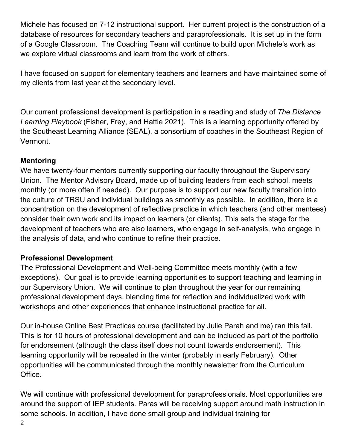Michele has focused on 7-12 instructional support. Her current project is the construction of a database of resources for secondary teachers and paraprofessionals. It is set up in the form of a Google Classroom. The Coaching Team will continue to build upon Michele's work as we explore virtual classrooms and learn from the work of others.

I have focused on support for elementary teachers and learners and have maintained some of my clients from last year at the secondary level.

Our current professional development is participation in a reading and study of *The Distance Learning Playbook* (Fisher, Frey, and Hattie 2021). This is a learning opportunity offered by the Southeast Learning Alliance (SEAL), a consortium of coaches in the Southeast Region of Vermont.

#### **Mentoring**

We have twenty-four mentors currently supporting our faculty throughout the Supervisory Union. The Mentor Advisory Board, made up of building leaders from each school, meets monthly (or more often if needed). Our purpose is to support our new faculty transition into the culture of TRSU and individual buildings as smoothly as possible. In addition, there is a concentration on the development of reflective practice in which teachers (and other mentees) consider their own work and its impact on learners (or clients). This sets the stage for the development of teachers who are also learners, who engage in self-analysis, who engage in the analysis of data, and who continue to refine their practice.

## **Professional Development**

The Professional Development and Well-being Committee meets monthly (with a few exceptions). Our goal is to provide learning opportunities to support teaching and learning in our Supervisory Union. We will continue to plan throughout the year for our remaining professional development days, blending time for reflection and individualized work with workshops and other experiences that enhance instructional practice for all.

Our in-house Online Best Practices course (facilitated by Julie Parah and me) ran this fall. This is for 10 hours of professional development and can be included as part of the portfolio for endorsement (although the class itself does not count towards endorsement). This learning opportunity will be repeated in the winter (probably in early February). Other opportunities will be communicated through the monthly newsletter from the Curriculum Office.

We will continue with professional development for paraprofessionals. Most opportunities are around the support of IEP students. Paras will be receiving support around math instruction in some schools. In addition, I have done small group and individual training for